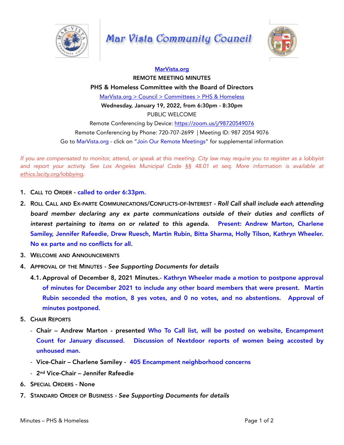

## Mar Vista Community Council



## [MarVista.org](http://marvista.org) REMOTE MEETING MINUTES PHS & Homeless Committee with the Board of Directors [MarVista.org > Council > Committees > PHS & Homeless](https://www.marvista.org/committees/viewCommittee/homeless-issues-subcommittee) Wednesday, January 19, 2022, from 6:30pm - 8:30pm PUBLIC WELCOME Remote Conferencing by Device: <https://zoom.us/j/98720549076> Remote Conferencing by Phone: 720-707-2699 | Meeting ID: 987 2054 9076 Go to MarVista.org - click on "Join Our Remote Meetings" for supplemental information

*If you are compensated to monitor, attend, or speak at this meeting. City law may require you to register as a lobbyist and report your activity. See Los Angeles Municipal Code §§ 48.01 et seq. More information is available at [ethics.lacity.org/lobbying.](http://ethics.lacity.org/lobbying)* 

- 1. CALL TO ORDER called to order 6:33pm.
- 2. ROLL CALL AND EX-PARTE COMMUNICATIONS/CONFLICTS-OF-INTEREST  *Roll Call shall include each attending board member declaring any ex parte communications outside of their duties and conflicts of*  interest pertaining to items on or related to this agenda. Present: Andrew Marton, Charlene Samiley, Jennifer Rafeedie, Drew Ruesch, Martin Rubin, Bitta Sharma, Holly Tilson, Kathryn Wheeler. No ex parte and no conflicts for all.
- 3. WELCOME AND ANNOUNCEMENTS
- 4. APPROVAL OF THE MINUTES  *See Supporting Documents for details* 
	- 4.1. Approval of December 8, 2021 Minutes.- Kathryn Wheeler made a motion to postpone approval of minutes for December 2021 to include any other board members that were present. Martin Rubin seconded the motion, 8 yes votes, and 0 no votes, and no abstentions. Approval of minutes postponed.
- 5. CHAIR REPORTS
	- Chair Andrew Marton presented Who To Call list, will be posted on website, Encampment Count for January discussed. Discussion of Nextdoor reports of women being accosted by unhoused man.
	- Vice-Chair Charlene Samiley 405 Encampment neighborhood concerns
	- 2nd Vice-Chair Jennifer Rafeedie
- 6. SPECIAL ORDERS None
- 7. STANDARD ORDER OF BUSINESS  *See Supporting Documents for details*